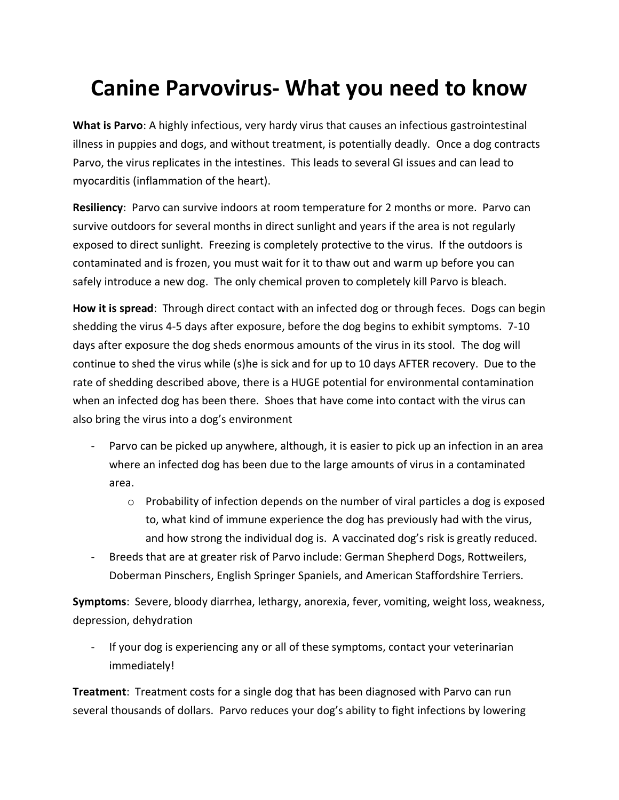## **Canine Parvovirus- What you need to know**

**What is Parvo**: A highly infectious, very hardy virus that causes an infectious gastrointestinal illness in puppies and dogs, and without treatment, is potentially deadly. Once a dog contracts Parvo, the virus replicates in the intestines. This leads to several GI issues and can lead to myocarditis (inflammation of the heart).

**Resiliency**: Parvo can survive indoors at room temperature for 2 months or more. Parvo can survive outdoors for several months in direct sunlight and years if the area is not regularly exposed to direct sunlight. Freezing is completely protective to the virus. If the outdoors is contaminated and is frozen, you must wait for it to thaw out and warm up before you can safely introduce a new dog. The only chemical proven to completely kill Parvo is bleach.

**How it is spread**: Through direct contact with an infected dog or through feces. Dogs can begin shedding the virus 4-5 days after exposure, before the dog begins to exhibit symptoms. 7-10 days after exposure the dog sheds enormous amounts of the virus in its stool. The dog will continue to shed the virus while (s)he is sick and for up to 10 days AFTER recovery. Due to the rate of shedding described above, there is a HUGE potential for environmental contamination when an infected dog has been there. Shoes that have come into contact with the virus can also bring the virus into a dog's environment

- Parvo can be picked up anywhere, although, it is easier to pick up an infection in an area where an infected dog has been due to the large amounts of virus in a contaminated area.
	- $\circ$  Probability of infection depends on the number of viral particles a dog is exposed to, what kind of immune experience the dog has previously had with the virus, and how strong the individual dog is. A vaccinated dog's risk is greatly reduced.
- Breeds that are at greater risk of Parvo include: German Shepherd Dogs, Rottweilers, Doberman Pinschers, English Springer Spaniels, and American Staffordshire Terriers.

**Symptoms**: Severe, bloody diarrhea, lethargy, anorexia, fever, vomiting, weight loss, weakness, depression, dehydration

- If your dog is experiencing any or all of these symptoms, contact your veterinarian immediately!

**Treatment**: Treatment costs for a single dog that has been diagnosed with Parvo can run several thousands of dollars. Parvo reduces your dog's ability to fight infections by lowering